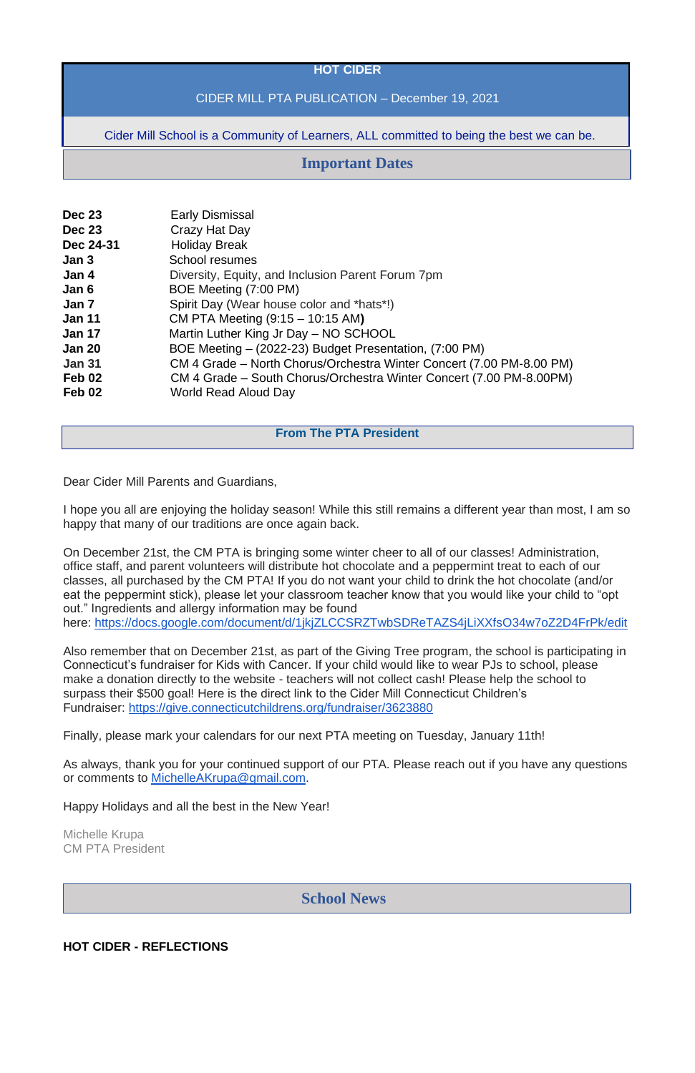#### **HOT CIDER**

## CIDER MILL PTA PUBLICATION – December 19, 2021

Cider Mill School is a Community of Learners, ALL committed to being the best we can be.

| <b>Early Dismissal</b>                                               |
|----------------------------------------------------------------------|
| Crazy Hat Day                                                        |
| <b>Holiday Break</b>                                                 |
| School resumes                                                       |
| Diversity, Equity, and Inclusion Parent Forum 7pm                    |
| BOE Meeting (7:00 PM)                                                |
| Spirit Day (Wear house color and *hats*!)                            |
| CM PTA Meeting (9:15 – 10:15 AM)                                     |
| Martin Luther King Jr Day - NO SCHOOL                                |
| BOE Meeting – (2022-23) Budget Presentation, (7:00 PM)               |
| CM 4 Grade – North Chorus/Orchestra Winter Concert (7.00 PM-8.00 PM) |
| CM 4 Grade – South Chorus/Orchestra Winter Concert (7.00 PM-8.00PM)  |
| World Read Aloud Day                                                 |
|                                                                      |

### **From The PTA President**

Dear Cider Mill Parents and Guardians,

I hope you all are enjoying the holiday season! While this still remains a different year than most, I am so happy that many of our traditions are once again back.

On December 21st, the CM PTA is bringing some winter cheer to all of our classes! Administration, office staff, and parent volunteers will distribute hot chocolate and a peppermint treat to each of our classes, all purchased by the CM PTA! If you do not want your child to drink the hot chocolate (and/or eat the peppermint stick), please let your classroom teacher know that you would like your child to "opt out." Ingredients and allergy information may be found here: <https://docs.google.com/document/d/1jkjZLCCSRZTwbSDReTAZS4jLiXXfsO34w7oZ2D4FrPk/edit>

Also remember that on December 21st, as part of the Giving Tree program, the school is participating in Connecticut's fundraiser for Kids with Cancer. If your child would like to wear PJs to school, please make a donation directly to the website - teachers will not collect cash! Please help the school to surpass their \$500 goal! Here is the direct link to the Cider Mill Connecticut Children's Fundraiser: <https://give.connecticutchildrens.org/fundraiser/3623880>

Finally, please mark your calendars for our next PTA meeting on Tuesday, January 11th!

As always, thank you for your continued support of our PTA. Please reach out if you have any questions or comments to [MichelleAKrupa@gmail.com.](mailto:MichelleAKrupa@gmail.com)

Happy Holidays and all the best in the New Year!

Michelle Krupa CM PTA President

**HOT CIDER - REFLECTIONS**

# **Important Dates**

**School News**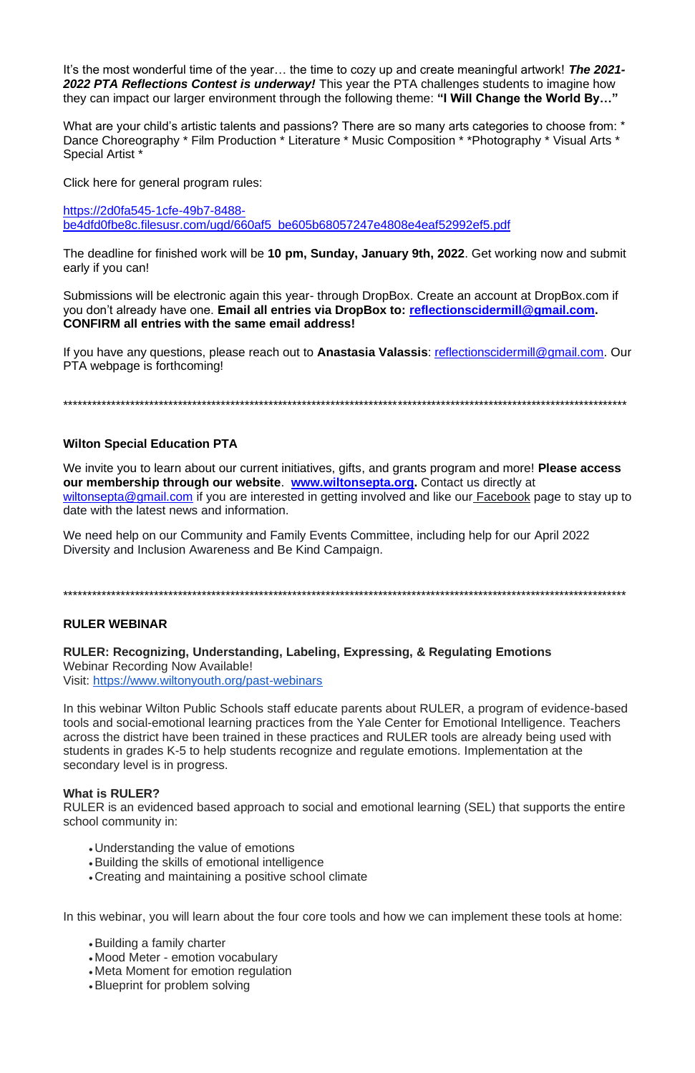It's the most wonderful time of the year… the time to cozy up and create meaningful artwork! *The 2021- 2022 PTA Reflections Contest is underway!* This year the PTA challenges students to imagine how they can impact our larger environment through the following theme: **"I Will Change the World By…"**

What are your child's artistic talents and passions? There are so many arts categories to choose from: \* Dance Choreography \* Film Production \* Literature \* Music Composition \* \*Photography \* Visual Arts \* Special Artist \*

Click here for general program rules:

[https://2d0fa545-1cfe-49b7-8488](https://2d0fa545-1cfe-49b7-8488-be4dfd0fbe8c.filesusr.com/ugd/660af5_be605b68057247e4808e4eaf52992ef5.pdf) [be4dfd0fbe8c.filesusr.com/ugd/660af5\\_be605b68057247e4808e4eaf52992ef5.pdf](https://2d0fa545-1cfe-49b7-8488-be4dfd0fbe8c.filesusr.com/ugd/660af5_be605b68057247e4808e4eaf52992ef5.pdf)

The deadline for finished work will be **10 pm, Sunday, January 9th, 2022**. Get working now and submit early if you can!

Submissions will be electronic again this year- through DropBox. Create an account at DropBox.com if you don't already have one. **Email all entries via DropBox to: [reflectionscidermill@gmail.com.](mailto:reflectionscidermill@gmail.com) CONFIRM all entries with the same email address!**

If you have any questions, please reach out to **Anastasia Valassis**: [reflectionscidermill@gmail.com.](mailto:reflectionscidermill@gmail.com) Our PTA webpage is forthcoming!

\*\*\*\*\*\*\*\*\*\*\*\*\*\*\*\*\*\*\*\*\*\*\*\*\*\*\*\*\*\*\*\*\*\*\*\*\*\*\*\*\*\*\*\*\*\*\*\*\*\*\*\*\*\*\*\*\*\*\*\*\*\*\*\*\*\*\*\*\*\*\*\*\*\*\*\*\*\*\*\*\*\*\*\*\*\*\*\*\*\*\*\*\*\*\*\*\*\*\*\*\*\*\*\*\*\*\*\*\*\*\*\*\*\*\*\*\*\*

### **Wilton Special Education PTA**

We invite you to learn about our current initiatives, gifts, and grants program and more! **Please access our membership through our website**. **[www.wiltonsepta.org.](https://www.wiltonsepta.org/projecto-5)** Contact us directly at [wiltonsepta@gmail.com](mailto:wiltonsepta@gmail.com) if you are interested in getting involved and like our [Facebook](https://www.facebook.com/WiltonSEPTA) page to stay up to date with the latest news and information.

We need help on our Community and Family Events Committee, including help for our April 2022 Diversity and Inclusion Awareness and Be Kind Campaign.

\*\*\*\*\*\*\*\*\*\*\*\*\*\*\*\*\*\*\*\*\*\*\*\*\*\*\*\*\*\*\*\*\*\*\*\*\*\*\*\*\*\*\*\*\*\*\*\*\*\*\*\*\*\*\*\*\*\*\*\*\*\*\*\*\*\*\*\*\*\*\*\*\*\*\*\*\*\*\*\*\*\*\*\*\*\*\*\*\*\*\*\*\*\*\*\*\*\*\*\*\*\*\*\*\*\*\*\*\*\*\*\*\*\*\*\*\*\*

### **RULER WEBINAR**

**RULER: Recognizing, Understanding, Labeling, Expressing, & Regulating Emotions** Webinar Recording Now Available! Visit: <https://www.wiltonyouth.org/past-webinars>

In this webinar Wilton Public Schools staff educate parents about RULER, a program of evidence-based tools and social-emotional learning practices from the Yale Center for Emotional Intelligence. Teachers across the district have been trained in these practices and RULER tools are already being used with students in grades K-5 to help students recognize and regulate emotions. Implementation at the secondary level is in progress.

#### **What is RULER?**

RULER is an evidenced based approach to social and emotional learning (SEL) that supports the entire school community in:

- Understanding the value of emotions
- •Building the skills of emotional intelligence
- Creating and maintaining a positive school climate

In this webinar, you will learn about the four core tools and how we can implement these tools at home:

- •Building a family charter
- Mood Meter emotion vocabulary
- Meta Moment for emotion regulation
- •Blueprint for problem solving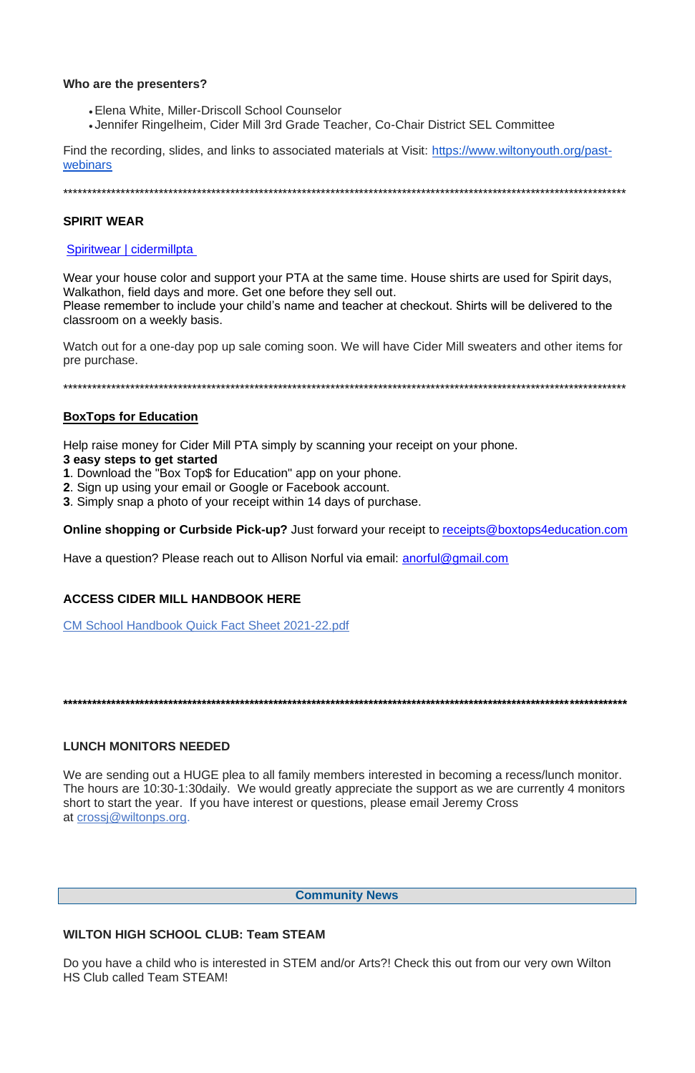#### Who are the presenters?

- Elena White, Miller-Driscoll School Counselor
- Jennifer Ringelheim, Cider Mill 3rd Grade Teacher, Co-Chair District SEL Committee

Find the recording, slides, and links to associated materials at Visit: https://www.wiltonyouth.org/pastwebinars

### **SPIRIT WEAR**

## Spiritwear | cidermillpta

Wear your house color and support your PTA at the same time. House shirts are used for Spirit days, Walkathon, field days and more. Get one before they sell out. Please remember to include your child's name and teacher at checkout. Shirts will be delivered to the classroom on a weekly basis.

Watch out for a one-day pop up sale coming soon. We will have Cider Mill sweaters and other items for pre purchase.

# **BoxTops for Education**

Help raise money for Cider Mill PTA simply by scanning your receipt on your phone.

### 3 easy steps to get started

- 1. Download the "Box Top\$ for Education" app on your phone.
- 2. Sign up using your email or Google or Facebook account.
- 3. Simply snap a photo of your receipt within 14 days of purchase.

**Online shopping or Curbside Pick-up?** Just forward your receipt to receipts@boxtops4education.com

Have a question? Please reach out to Allison Norful via email: anorful@gmail.com

# **ACCESS CIDER MILL HANDBOOK HERE**

**CM School Handbook Quick Fact Sheet 2021-22.pdf** 

# **LUNCH MONITORS NEEDED**

We are sending out a HUGE plea to all family members interested in becoming a recess/lunch monitor. The hours are 10:30-1:30daily. We would greatly appreciate the support as we are currently 4 monitors short to start the year. If you have interest or questions, please email Jeremy Cross at crossi@wiltonps.org.

**Community News** 

#### **WILTON HIGH SCHOOL CLUB: Team STEAM**

Do you have a child who is interested in STEM and/or Arts?! Check this out from our very own Wilton **HS Club called Team STEAM!**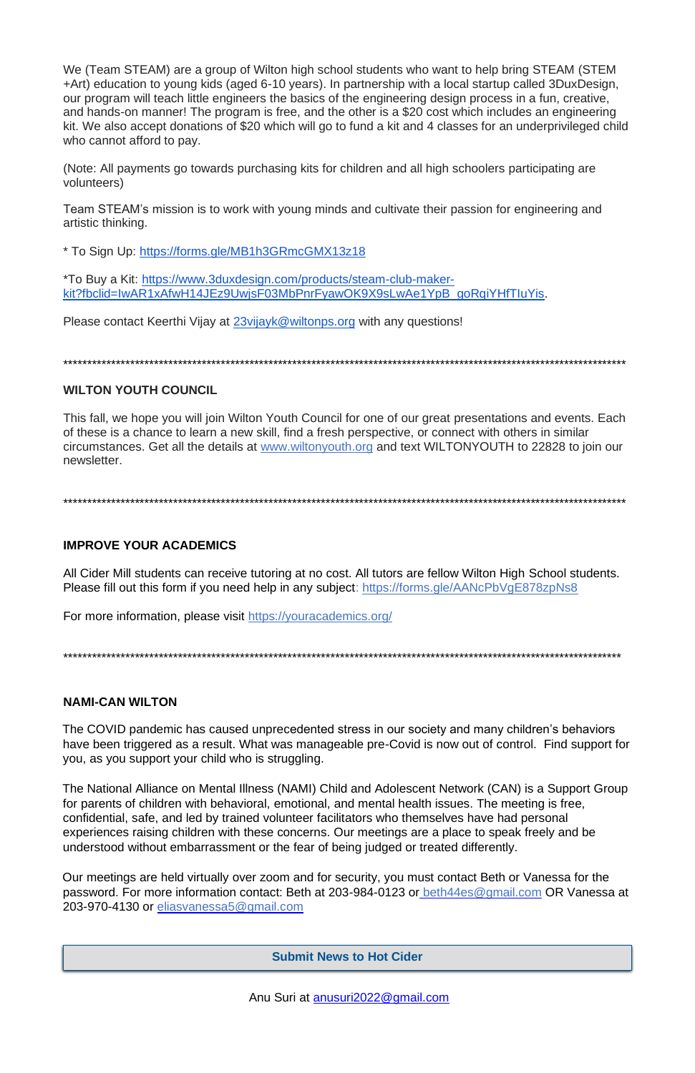We (Team STEAM) are a group of Wilton high school students who want to help bring STEAM (STEM +Art) education to young kids (aged 6-10 years). In partnership with a local startup called 3DuxDesign, our program will teach little engineers the basics of the engineering design process in a fun, creative, and hands-on manner! The program is free, and the other is a \$20 cost which includes an engineering kit. We also accept donations of \$20 which will go to fund a kit and 4 classes for an underprivileged child who cannot afford to pay.

(Note: All payments go towards purchasing kits for children and all high schoolers participating are volunteers)

Team STEAM's mission is to work with young minds and cultivate their passion for engineering and artistic thinking.

\* To Sign Up: <https://forms.gle/MB1h3GRmcGMX13z18>

All Cider Mill students can receive tutoring at no cost. All tutors are fellow Wilton High School students. Please fill out this form if you need help in any subject: <https://forms.gle/AANcPbVgE878zpNs8>

\*To Buy a Kit: [https://www.3duxdesign.com/products/steam-club-maker](https://www.3duxdesign.com/products/steam-club-maker-kit?fbclid=IwAR1xAfwH14JEz9UwjsF03MbPnrFyawOK9X9sLwAe1YpB_goRqiYHfTIuYis)[kit?fbclid=IwAR1xAfwH14JEz9UwjsF03MbPnrFyawOK9X9sLwAe1YpB\\_goRqiYHfTIuYis.](https://www.3duxdesign.com/products/steam-club-maker-kit?fbclid=IwAR1xAfwH14JEz9UwjsF03MbPnrFyawOK9X9sLwAe1YpB_goRqiYHfTIuYis)

Please contact Keerthi Vijay at [23vijayk@wiltonps.org](mailto:23vijayk@wiltonps.org) with any questions!

\*\*\*\*\*\*\*\*\*\*\*\*\*\*\*\*\*\*\*\*\*\*\*\*\*\*\*\*\*\*\*\*\*\*\*\*\*\*\*\*\*\*\*\*\*\*\*\*\*\*\*\*\*\*\*\*\*\*\*\*\*\*\*\*\*\*\*\*\*\*\*\*\*\*\*\*\*\*\*\*\*\*\*\*\*\*\*\*\*\*\*\*\*\*\*\*\*\*\*\*\*\*\*\*\*\*\*\*\*\*\*\*\*\*\*\*\*\*

# **WILTON YOUTH COUNCIL**

This fall, we hope you will join Wilton Youth Council for one of our great presentations and events. Each of these is a chance to learn a new skill, find a fresh perspective, or connect with others in similar circumstances. Get all the details at [www.wiltonyouth.org](http://www.wiltonyouth.org/) and text WILTONYOUTH to 22828 to join our newsletter.

\*\*\*\*\*\*\*\*\*\*\*\*\*\*\*\*\*\*\*\*\*\*\*\*\*\*\*\*\*\*\*\*\*\*\*\*\*\*\*\*\*\*\*\*\*\*\*\*\*\*\*\*\*\*\*\*\*\*\*\*\*\*\*\*\*\*\*\*\*\*\*\*\*\*\*\*\*\*\*\*\*\*\*\*\*\*\*\*\*\*\*\*\*\*\*\*\*\*\*\*\*\*\*\*\*\*\*\*\*\*\*\*\*\*\*\*\*\*

# **IMPROVE YOUR ACADEMICS**

For more information, please visit <https://youracademics.org/>

\*\*\*\*\*\*\*\*\*\*\*\*\*\*\*\*\*\*\*\*\*\*\*\*\*\*\*\*\*\*\*\*\*\*\*\*\*\*\*\*\*\*\*\*\*\*\*\*\*\*\*\*\*\*\*\*\*\*\*\*\*\*\*\*\*\*\*\*\*\*\*\*\*\*\*\*\*\*\*\*\*\*\*\*\*\*\*\*\*\*\*\*\*\*\*\*\*\*\*\*\*\*\*\*\*\*\*\*\*\*\*\*\*\*\*\*\*

# **NAMI-CAN WILTON**

The COVID pandemic has caused unprecedented stress in our society and many children's behaviors have been triggered as a result. What was manageable pre-Covid is now out of control. Find support for you, as you support your child who is struggling.

The National Alliance on Mental Illness (NAMI) Child and Adolescent Network (CAN) is a Support Group for parents of children with behavioral, emotional, and mental health issues. The meeting is free, confidential, safe, and led by trained volunteer facilitators who themselves have had personal experiences raising children with these concerns. Our meetings are a place to speak freely and be understood without embarrassment or the fear of being judged or treated differently.

Our meetings are held virtually over zoom and for security, you must contact Beth or Vanessa for the password. For more information contact: Beth at 203-984-0123 or beth44es@gmail.com OR Vanessa at 203-970-4130 or eliasvanessa5@gmail.com

**Submit News to Hot Cider**

Anu Suri at anusuri2022@gmail.com